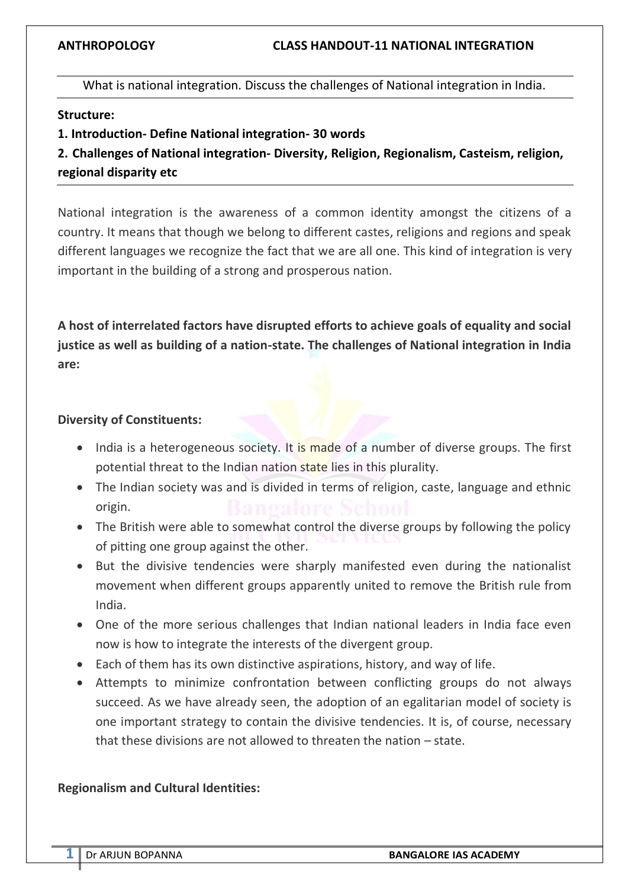What is national integration. Discuss the challenges of National integration in India.

### **Structure:**

**1. Introduction- Define National integration- 30 words**

| 2. Challenges of National integration- Diversity, Religion, Regionalism, Casteism, religion, |  |
|----------------------------------------------------------------------------------------------|--|
| regional disparity etc                                                                       |  |

National integration is the awareness of a common identity amongst the citizens of a country. It means that though we belong to different castes, religions and regions and speak different languages we recognize the fact that we are all one. This kind of integration is very important in the building of a strong and prosperous nation.

**A host of interrelated factors have disrupted efforts to achieve goals of equality and social justice as well as building of a nation-state. The challenges of National integration in India are:**

### **Diversity of Constituents:**

- India is a heterogeneous society. It is made of a number of diverse groups. The first potential threat to the Indian nation state lies in this plurality.
- The Indian society was and is divided in terms of religion, caste, language and ethnic origin.
- The British were able to somewhat control the diverse groups by following the policy of pitting one group against the other.
- But the divisive tendencies were sharply manifested even during the nationalist movement when different groups apparently united to remove the British rule from India.
- One of the more serious challenges that Indian national leaders in India face even now is how to integrate the interests of the divergent group.
- Each of them has its own distinctive aspirations, history, and way of life.
- Attempts to minimize confrontation between conflicting groups do not always succeed. As we have already seen, the adoption of an egalitarian model of society is one important strategy to contain the divisive tendencies. It is, of course, necessary that these divisions are not allowed to threaten the nation – state.

### **Regionalism and Cultural Identities:**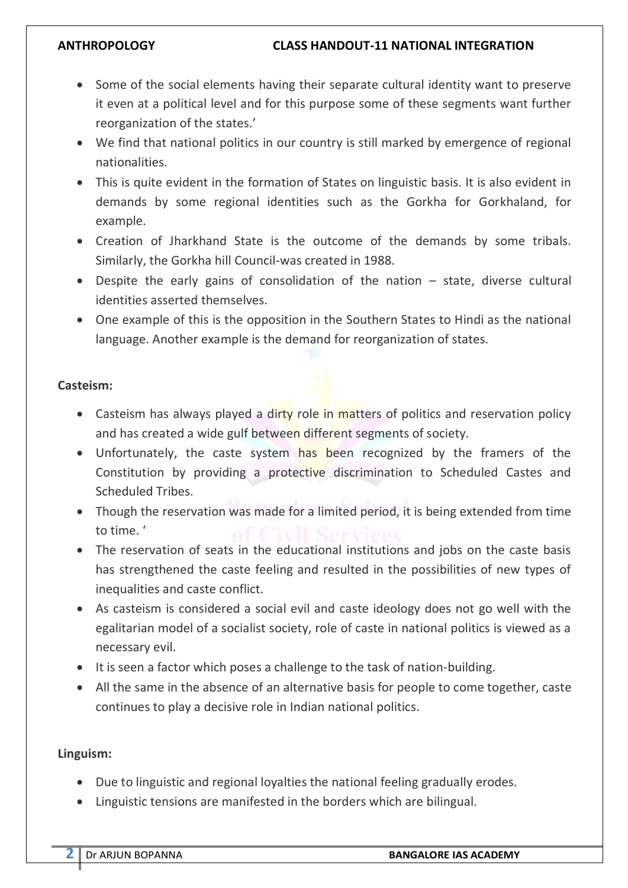- Some of the social elements having their separate cultural identity want to preserve it even at a political level and for this purpose some of these segments want further reorganization of the states.'
- We find that national politics in our country is still marked by emergence of regional nationalities.
- This is quite evident in the formation of States on linguistic basis. It is also evident in demands by some regional identities such as the Gorkha for Gorkhaland, for example.
- Creation of Jharkhand State is the outcome of the demands by some tribals. Similarly, the Gorkha hill Council-was created in 1988.
- Despite the early gains of consolidation of the nation state, diverse cultural identities asserted themselves.
- One example of this is the opposition in the Southern States to Hindi as the national language. Another example is the demand for reorganization of states.

## **Casteism:**

- Casteism has always played a dirty role in matters of politics and reservation policy and has created a wide gulf between different segments of society.
- Unfortunately, the caste system has been recognized by the framers of the Constitution by providing a protective discrimination to Scheduled Castes and Scheduled Tribes.
- Though the reservation was made for a limited period, it is being extended from time to time. '
- The reservation of seats in the educational institutions and jobs on the caste basis has strengthened the caste feeling and resulted in the possibilities of new types of inequalities and caste conflict.
- As casteism is considered a social evil and caste ideology does not go well with the egalitarian model of a socialist society, role of caste in national politics is viewed as a necessary evil.
- It is seen a factor which poses a challenge to the task of nation-building.
- All the same in the absence of an alternative basis for people to come together, caste continues to play a decisive role in Indian national politics.

## **Linguism:**

- Due to linguistic and regional loyalties the national feeling gradually erodes.
- Linguistic tensions are manifested in the borders which are bilingual.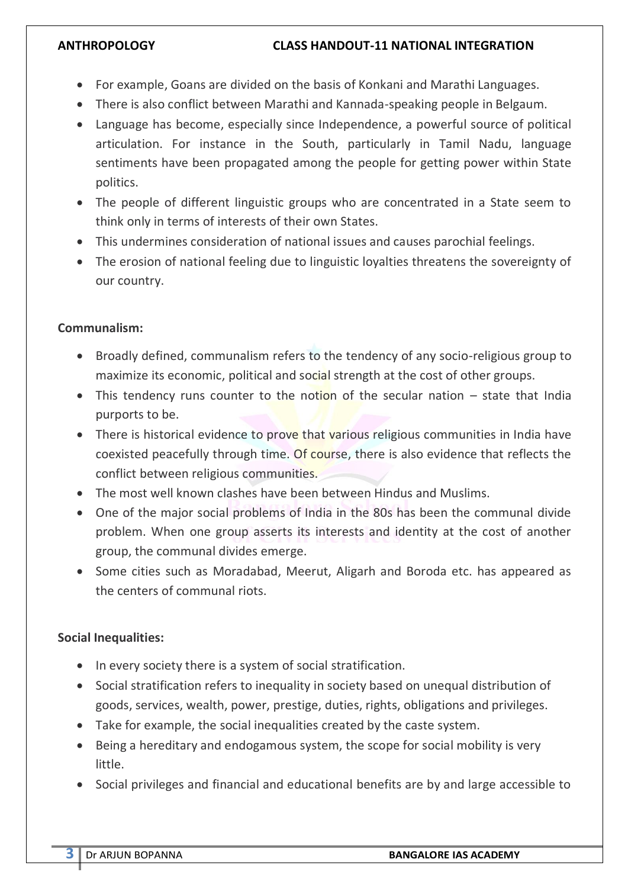### **ANTHROPOLOGY CLASS HANDOUT-11 NATIONAL INTEGRATION**

- For example, Goans are divided on the basis of Konkani and Marathi Languages.
- There is also conflict between Marathi and Kannada-speaking people in Belgaum.
- Language has become, especially since Independence, a powerful source of political articulation. For instance in the South, particularly in Tamil Nadu, language sentiments have been propagated among the people for getting power within State politics.
- The people of different linguistic groups who are concentrated in a State seem to think only in terms of interests of their own States.
- This undermines consideration of national issues and causes parochial feelings.
- The erosion of national feeling due to linguistic loyalties threatens the sovereignty of our country.

## **Communalism:**

- Broadly defined, communalism refers to the tendency of any socio-religious group to maximize its economic, political and social strength at the cost of other groups.
- This tendency runs counter to the notion of the secular nation state that India purports to be.
- There is historical evidence to prove that various religious communities in India have coexisted peacefully through time. Of course, there is also evidence that reflects the conflict between religious communities.
- The most well known clashes have been between Hindus and Muslims.
- One of the major social problems of India in the 80s has been the communal divide problem. When one group asserts its interests and identity at the cost of another group, the communal divides emerge.
- Some cities such as Moradabad, Meerut, Aligarh and Boroda etc. has appeared as the centers of communal riots.

# **Social Inequalities:**

- In every society there is a system of social stratification.
- Social stratification refers to inequality in society based on unequal distribution of goods, services, wealth, power, prestige, duties, rights, obligations and privileges.
- Take for example, the social inequalities created by the caste system.
- Being a hereditary and endogamous system, the scope for social mobility is very little.
- Social privileges and financial and educational benefits are by and large accessible to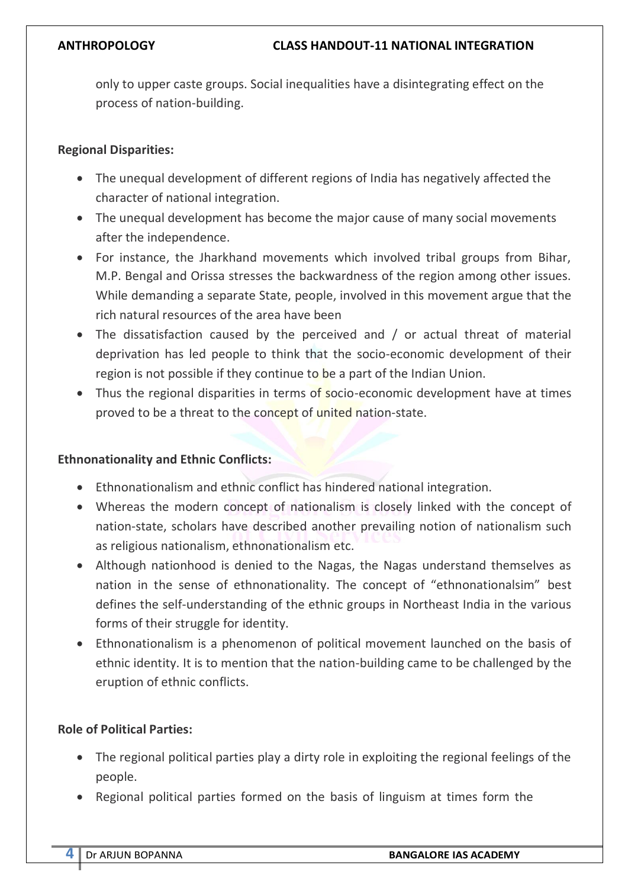only to upper caste groups. Social inequalities have a disintegrating effect on the process of nation-building.

## **Regional Disparities:**

- The unequal development of different regions of India has negatively affected the character of national integration.
- The unequal development has become the major cause of many social movements after the independence.
- For instance, the Jharkhand movements which involved tribal groups from Bihar, M.P. Bengal and Orissa stresses the backwardness of the region among other issues. While demanding a separate State, people, involved in this movement argue that the rich natural resources of the area have been
- The dissatisfaction caused by the perceived and / or actual threat of material deprivation has led people to think that the socio-economic development of their region is not possible if they continue to be a part of the Indian Union.
- Thus the regional disparities in terms of socio-economic development have at times proved to be a threat to the concept of united nation-state.

## **Ethnonationality and Ethnic Conflicts:**

- Ethnonationalism and ethnic conflict has hindered national integration.
- Whereas the modern concept of nationalism is closely linked with the concept of nation-state, scholars have described another prevailing notion of nationalism such as religious nationalism, ethnonationalism etc.
- Although nationhood is denied to the Nagas, the Nagas understand themselves as nation in the sense of ethnonationality. The concept of "ethnonationalsim" best defines the self-understanding of the ethnic groups in Northeast India in the various forms of their struggle for identity.
- Ethnonationalism is a phenomenon of political movement launched on the basis of ethnic identity. It is to mention that the nation-building came to be challenged by the eruption of ethnic conflicts.

# **Role of Political Parties:**

- The regional political parties play a dirty role in exploiting the regional feelings of the people.
- Regional political parties formed on the basis of linguism at times form the